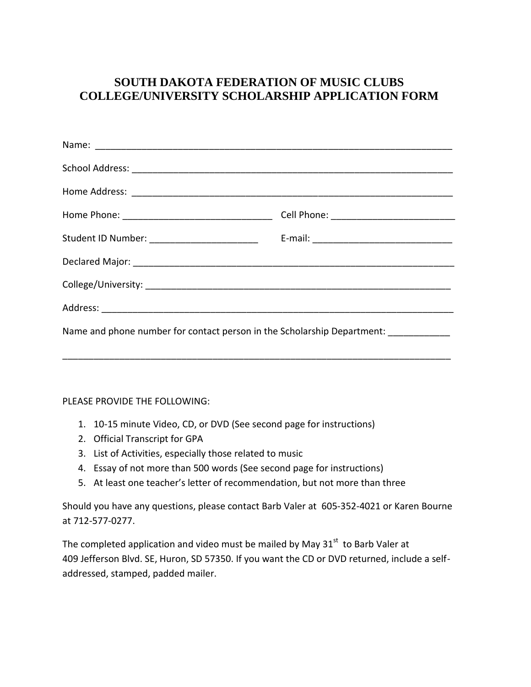## **SOUTH DAKOTA FEDERATION OF MUSIC CLUBS COLLEGE/UNIVERSITY SCHOLARSHIP APPLICATION FORM**

| Name and phone number for contact person in the Scholarship Department: |  |
|-------------------------------------------------------------------------|--|

\_\_\_\_\_\_\_\_\_\_\_\_\_\_\_\_\_\_\_\_\_\_\_\_\_\_\_\_\_\_\_\_\_\_\_\_\_\_\_\_\_\_\_\_\_\_\_\_\_\_\_\_\_\_\_\_\_\_\_\_\_\_\_\_\_\_\_\_\_\_\_\_\_\_\_

## PLEASE PROVIDE THE FOLLOWING:

- 1. 10-15 minute Video, CD, or DVD (See second page for instructions)
- 2. Official Transcript for GPA
- 3. List of Activities, especially those related to music
- 4. Essay of not more than 500 words (See second page for instructions)
- 5. At least one teacher's letter of recommendation, but not more than three

Should you have any questions, please contact Barb Valer at 605-352-4021 or Karen Bourne at 712-577-0277.

The completed application and video must be mailed by May  $31<sup>st</sup>$  to Barb Valer at 409 Jefferson Blvd. SE, Huron, SD 57350. If you want the CD or DVD returned, include a selfaddressed, stamped, padded mailer.